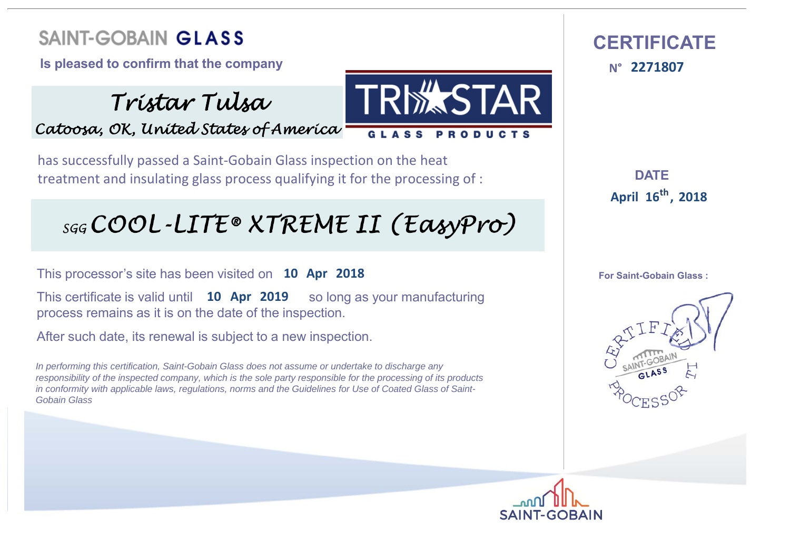**Is pleased to confirm that the company** 

*Tristar Tulsa Catoosa, OK, United States of America*

has successfully passed a Saint‐Gobain Glass inspection on the heat treatment and insulating glass process qualifying it for the processing of :

### sgg COOL-LITE® XTREME II (EasyPro)

This processor's site has been visited on **10 Apr 2018**

**This certificate is valid until 10 Apr 2019** so long as your manufacturing process remains as it is on the date of the inspection.

After such date, its renewal is subject to a new inspection.

*In performing this certification, Saint-Gobain Glass does not assume or undertake to discharge any responsibility of the inspected company, which is the sole party responsible for the processing of its products in conformity with applicable laws, regulations, norms and the Guidelines for Use of Coated Glass of Saint-Gobain Glass*



**DATE :16 April <sup>2018</sup> th,**

**For Saint-Gobain Glass :**





**MASTAR** 

GLASS PRODUCTS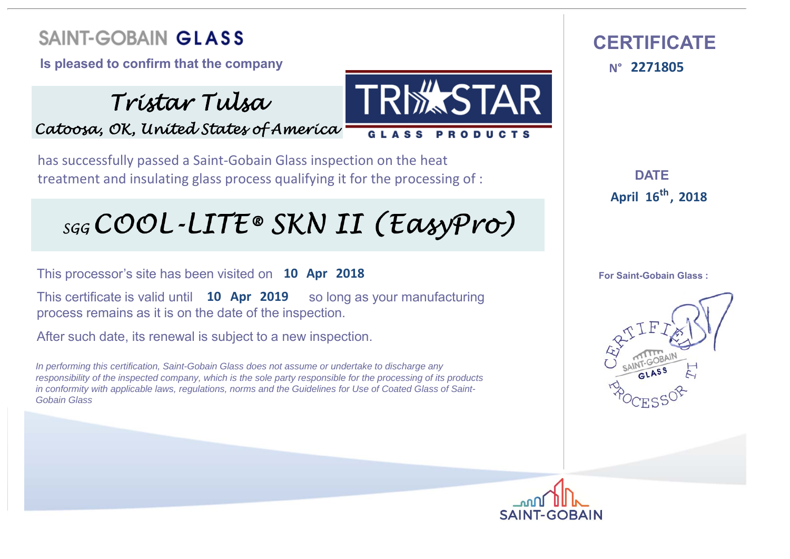**Is pleased to confirm that the company** 

*Tristar Tulsa Catoosa, OK, United States of America*

has successfully passed a Saint‐Gobain Glass inspection on the heat treatment and insulating glass process qualifying it for the processing of :

# sgg COOL-LITE® SKN II (EasyPro)

This processor's site has been visited on **10 Apr 2018**

**This certificate is valid until 10 Apr 2019** so long as your manufacturing process remains as it is on the date of the inspection.

After such date, its renewal is subject to a new inspection.

*In performing this certification, Saint-Gobain Glass does not assume or undertake to discharge any responsibility of the inspected company, which is the sole party responsible for the processing of its products in conformity with applicable laws, regulations, norms and the Guidelines for Use of Coated Glass of Saint-Gobain Glass*



 **CERTIFICATEN°**

**DATE :16 April <sup>2018</sup> th,**

**For Saint-Gobain Glass :**



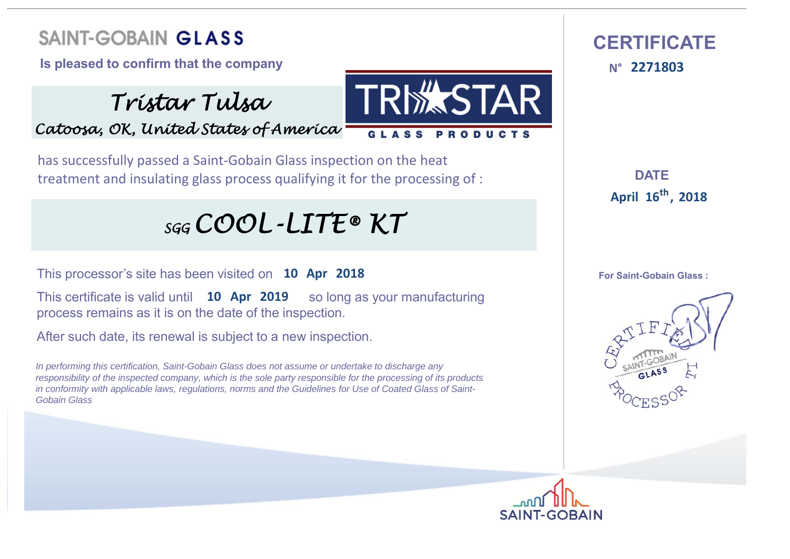**Is pleased to confirm that the company** 

*Tristar Tulsa Catoosa, OK, United States of America*

**ALSTAR** GLASS PRODUCTS

has successfully passed a Saint‐Gobain Glass inspection on the heat treatment and insulating glass process qualifying it for the processing of :

## *SGG COOL-LITE® KT*

This processor's site has been visited on **10 Apr 2018**

**This certificate is valid until 10 Apr 2019** so long as your manufacturing process remains as it is on the date of the inspection.

After such date, its renewal is subject to a new inspection.

*In performing this certification, Saint-Gobain Glass does not assume or undertake to discharge any responsibility of the inspected company, which is the sole party responsible for the processing of its products in conformity with applicable laws, regulations, norms and the Guidelines for Use of Coated Glass of Saint-Gobain Glass*



**DATE :16 April <sup>2018</sup> th,**

**For Saint-Gobain Glass :**



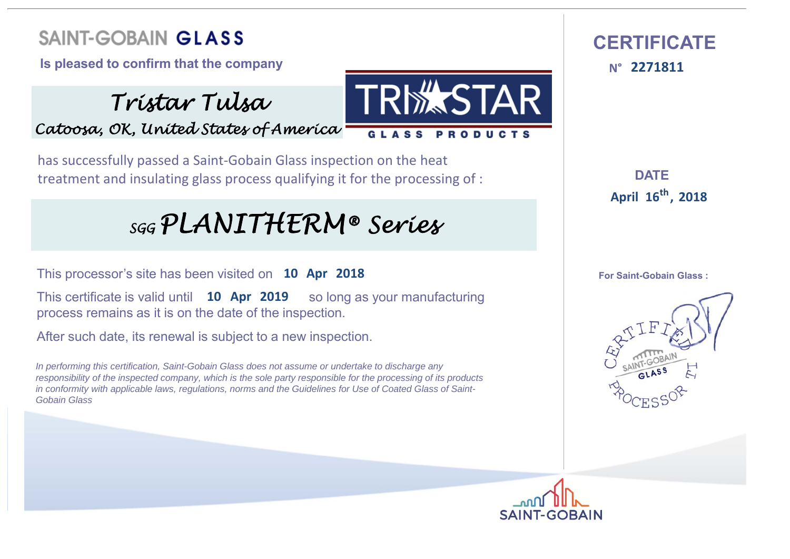**Is pleased to confirm that the company** 

*Tristar Tulsa Catoosa, OK, United States of America*

has successfully passed a Saint‐Gobain Glass inspection on the heat treatment and insulating glass process qualifying it for the processing of :

### *SGG PLANITHERM® Series*

This processor's site has been visited on **10 Apr 2018**

**This certificate is valid until 10 Apr 2019** so long as your manufacturing process remains as it is on the date of the inspection.

After such date, its renewal is subject to a new inspection.

*In performing this certification, Saint-Gobain Glass does not assume or undertake to discharge any responsibility of the inspected company, which is the sole party responsible for the processing of its products in conformity with applicable laws, regulations, norms and the Guidelines for Use of Coated Glass of Saint-Gobain Glass*





**DATE :16 April <sup>2018</sup> th,**

**For Saint-Gobain Glass :**